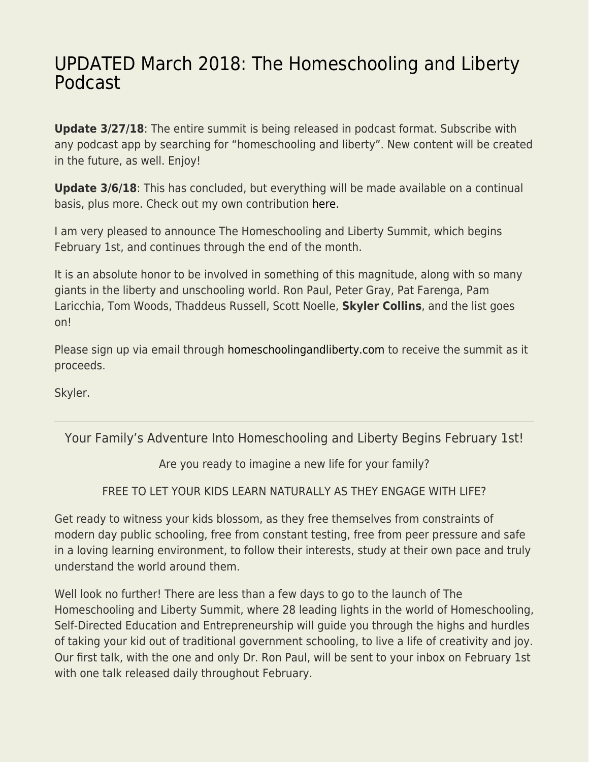## [UPDATED March 2018: The Homeschooling and Liberty](https://everything-voluntary.com/join-homeschooling-liberty-summit-february-2018) [Podcast](https://everything-voluntary.com/join-homeschooling-liberty-summit-february-2018)

**Update 3/27/18:** The entire summit is being released in podcast format. Subscribe with any podcast app by searching for "homeschooling and liberty". New content will be created in the future, as well. Enjoy!

**Update 3/6/18**: This has concluded, but everything will be made available on a continual basis, plus more. Check out my own contribution [here](http://everything-voluntary.com/skyler-interviewed-homeschooling-liberty-summit-27m-episode-103).

I am very pleased to announce The Homeschooling and Liberty Summit, which begins February 1st, and continues through the end of the month.

It is an absolute honor to be involved in something of this magnitude, along with so many giants in the liberty and unschooling world. Ron Paul, Peter Gray, Pat Farenga, Pam Laricchia, Tom Woods, Thaddeus Russell, Scott Noelle, **Skyler Collins**, and the list goes on!

Please sign up via email through [homeschoolingandliberty.com](http://www.homeschoolingandliberty.com/) to receive the summit as it proceeds.

Skyler.

## Your Family's Adventure Into Homeschooling and Liberty Begins February 1st!

Are you ready to imagine a new life for your family?

FREE TO LET YOUR KIDS LEARN NATURALLY AS THEY ENGAGE WITH LIFE?

Get ready to witness your kids blossom, as they free themselves from constraints of modern day public schooling, free from constant testing, free from peer pressure and safe in a loving learning environment, to follow their interests, study at their own pace and truly understand the world around them.

Well look no further! There are less than a few days to go to the launch of The Homeschooling and Liberty Summit, where 28 leading lights in the world of Homeschooling, Self-Directed Education and Entrepreneurship will guide you through the highs and hurdles of taking your kid out of traditional government schooling, to live a life of creativity and joy. Our first talk, with the one and only Dr. Ron Paul, will be sent to your inbox on February 1st with one talk released daily throughout February.